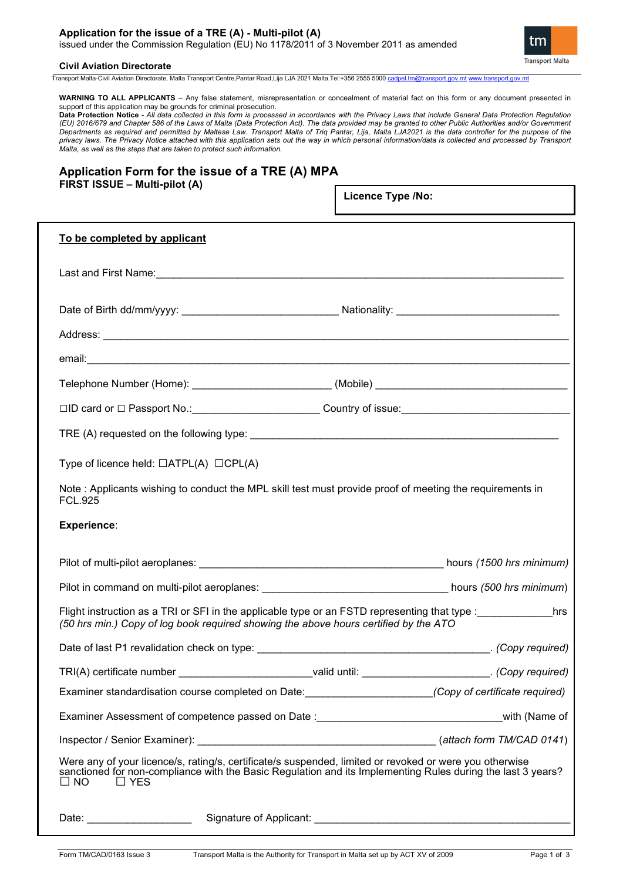### **Application for the issue of a TRE (A) - Multi-pilot (A)**  issued under the Commission Regulation (EU) No 1178/2011 of 3 November 2011 as amended

tm **Transport Malta** 

## **Civil Aviation Directorate**

Transport Malta-Civil Aviation Directorate, Malta Transport Centre,Pantar Road,Lija LJA 2021 Malta.Tel:+356 2555 5000 [cadpel.tm@transport.gov.mt](mailto:cadpel.tm@transport.gov.mt) [www.transport.gov.mt](http://www.transport.gov.mt/)

**WARNING TO ALL APPLICANTS** – Any false statement, misrepresentation or concealment of material fact on this form or any document presented in support of this application may be grounds for criminal prosecution.

**Data Protection Notice -** *All data collected in this form is processed in accordance with the Privacy Laws that include General Data Protection Regulation (EU) 2016/679 and Chapter 586 of the Laws of Malta (Data Protection Act). The data provided may be granted to other Public Authorities and/or Government Departments as required and permitted by Maltese Law. Transport Malta of Triq Pantar, Lija, Malta LJA2021 is the data controller for the purpose of the privacy laws. The Privacy Notice attached with this application sets out the way in which personal information/data is collected and processed by Transport Malta, as well as the steps that are taken to protect such information.*

# **Application Form for the issue of a TRE (A) MPA FIRST ISSUE – Multi-pilot (A)**

**Licence Type /No:** 

| To be completed by applicant                                                                                                                                                                                                                      |                                                                                                        |  |
|---------------------------------------------------------------------------------------------------------------------------------------------------------------------------------------------------------------------------------------------------|--------------------------------------------------------------------------------------------------------|--|
|                                                                                                                                                                                                                                                   |                                                                                                        |  |
|                                                                                                                                                                                                                                                   |                                                                                                        |  |
|                                                                                                                                                                                                                                                   |                                                                                                        |  |
|                                                                                                                                                                                                                                                   |                                                                                                        |  |
|                                                                                                                                                                                                                                                   | Telephone Number (Home): _________________________(Mobile) ______________________                      |  |
|                                                                                                                                                                                                                                                   |                                                                                                        |  |
|                                                                                                                                                                                                                                                   |                                                                                                        |  |
| Type of licence held: $\Box$ ATPL(A) $\Box$ CPL(A)                                                                                                                                                                                                |                                                                                                        |  |
| Note: Applicants wishing to conduct the MPL skill test must provide proof of meeting the requirements in<br><b>FCL.925</b>                                                                                                                        |                                                                                                        |  |
| <b>Experience:</b>                                                                                                                                                                                                                                |                                                                                                        |  |
|                                                                                                                                                                                                                                                   |                                                                                                        |  |
|                                                                                                                                                                                                                                                   |                                                                                                        |  |
| Flight instruction as a TRI or SFI in the applicable type or an FSTD representing that type :<br>hrs<br>(50 hrs min.) Copy of log book required showing the above hours certified by the ATO                                                      |                                                                                                        |  |
|                                                                                                                                                                                                                                                   |                                                                                                        |  |
|                                                                                                                                                                                                                                                   | TRI(A) certificate number ___________________________valid until: ___________________. (Copy required) |  |
|                                                                                                                                                                                                                                                   |                                                                                                        |  |
| Examiner Assessment of competence passed on Date : __________________________________with (Name of                                                                                                                                                |                                                                                                        |  |
|                                                                                                                                                                                                                                                   |                                                                                                        |  |
| Were any of your licence/s, rating/s, certificate/s suspended, limited or revoked or were you otherwise<br>sanctioned for non-compliance with the Basic Regulation and its Implementing Rules during the last 3 years?<br>$\square$ NO<br>□ □ YES |                                                                                                        |  |
| Date: __________________________                                                                                                                                                                                                                  |                                                                                                        |  |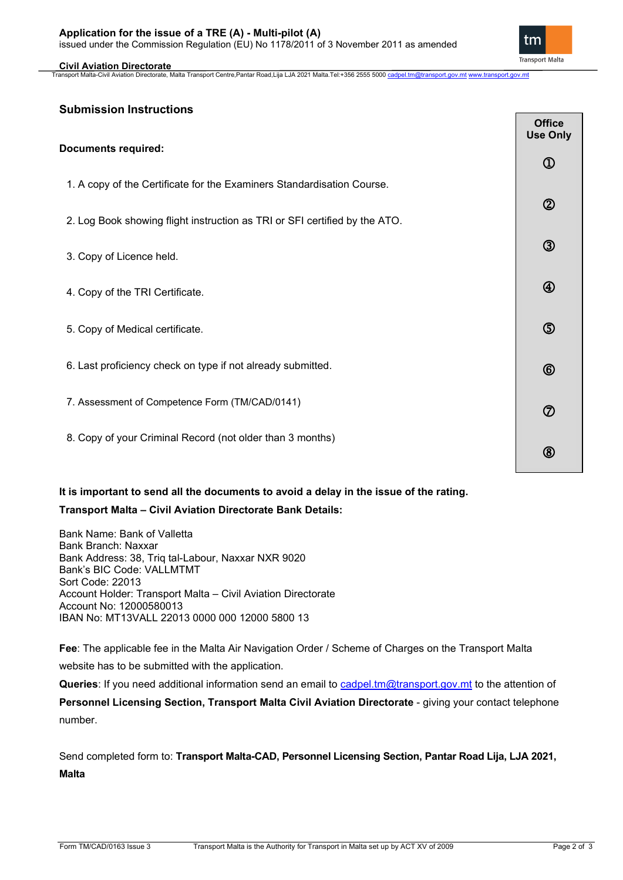#### **Civil Aviation Directorate**

Transport Malta-Civil Aviation Directorate, Malta Transport Centre,Pantar Road,Lija LJA 2021 Malta.Tel:+356 2555 5000 <u>[cadpel.tm@transport.gov.mt](mailto:cadpel.tm@transport.gov.mt) [www.transport.gov.mt](http://www.transport.gov.mt/)</u>

## **Submission Instructions**

|                                                                            | <b>Office</b><br><b>Use Only</b> |
|----------------------------------------------------------------------------|----------------------------------|
| <b>Documents required:</b>                                                 |                                  |
| 1. A copy of the Certificate for the Examiners Standardisation Course.     |                                  |
| 2. Log Book showing flight instruction as TRI or SFI certified by the ATO. | $^{\circledR}$                   |
| 3. Copy of Licence held.                                                   | $\circledS$                      |
| 4. Copy of the TRI Certificate.                                            | $^{\circledR}$                   |
| 5. Copy of Medical certificate.                                            | $\circledS$                      |
| 6. Last proficiency check on type if not already submitted.                | $^{\circledR}$                   |
| 7. Assessment of Competence Form (TM/CAD/0141)                             | $^\circledR$                     |
| 8. Copy of your Criminal Record (not older than 3 months)                  | $^{\circledR}$                   |

# **It is important to send all the documents to avoid a delay in the issue of the rating.**

## **Transport Malta – Civil Aviation Directorate Bank Details:**

Bank Name: Bank of Valletta Bank Branch: Naxxar Bank Address: 38, Triq tal-Labour, Naxxar NXR 9020 Bank's BIC Code: VALLMTMT Sort Code: 22013 Account Holder: Transport Malta – Civil Aviation Directorate Account No: 12000580013 IBAN No: MT13VALL 22013 0000 000 12000 5800 13

**Fee**: The applicable fee in the Malta Air Navigation Order / Scheme of Charges on the Transport Malta website has to be submitted with the application.

Queries: If you need additional information send an email to [cadpel.tm@transport.gov.mt](mailto:cadpel.tm@transport.gov.mt) to the attention of **Personnel Licensing Section, Transport Malta Civil Aviation Directorate** - giving your contact telephone number.

Send completed form to: **Transport Malta-CAD, Personnel Licensing Section, Pantar Road Lija, LJA 2021, Malta**